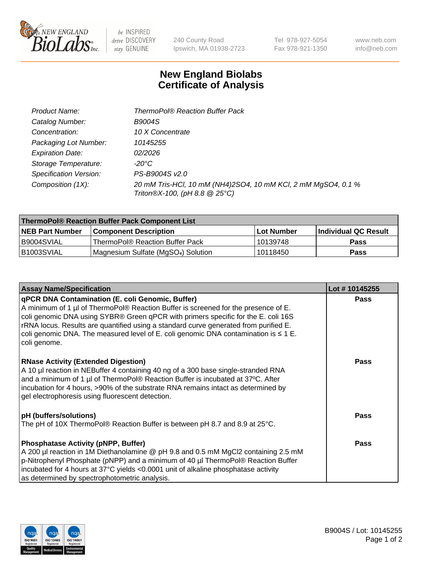

be INSPIRED drive DISCOVERY stay GENUINE

240 County Road Ipswich, MA 01938-2723 Tel 978-927-5054 Fax 978-921-1350 www.neb.com info@neb.com

## **New England Biolabs Certificate of Analysis**

| Product Name:           | <b>ThermoPol® Reaction Buffer Pack</b>                                                         |
|-------------------------|------------------------------------------------------------------------------------------------|
| Catalog Number:         | <b>B9004S</b>                                                                                  |
| Concentration:          | 10 X Concentrate                                                                               |
| Packaging Lot Number:   | 10145255                                                                                       |
| <b>Expiration Date:</b> | 02/2026                                                                                        |
| Storage Temperature:    | $-20^{\circ}$ C                                                                                |
| Specification Version:  | PS-B9004S v2.0                                                                                 |
| Composition (1X):       | 20 mM Tris-HCl, 10 mM (NH4)2SO4, 10 mM KCl, 2 mM MgSO4, 0.1 %<br>Triton®X-100, (pH 8.8 @ 25°C) |

| ThermoPol® Reaction Buffer Pack Component List |                                                 |             |                             |  |
|------------------------------------------------|-------------------------------------------------|-------------|-----------------------------|--|
| <b>NEB Part Number</b>                         | <b>Component Description</b>                    | ⊺Lot Number | <b>Individual QC Result</b> |  |
| I B9004SVIAL                                   | ThermoPol® Reaction Buffer Pack                 | 10139748    | <b>Pass</b>                 |  |
| IB1003SVIAL                                    | Magnesium Sulfate (MgSO <sub>4</sub> ) Solution | 10118450    | <b>Pass</b>                 |  |

| <b>Assay Name/Specification</b>                                                                                                                                                                                                                                                                                                                                                                                                 | Lot #10145255 |
|---------------------------------------------------------------------------------------------------------------------------------------------------------------------------------------------------------------------------------------------------------------------------------------------------------------------------------------------------------------------------------------------------------------------------------|---------------|
| qPCR DNA Contamination (E. coli Genomic, Buffer)<br>A minimum of 1 µl of ThermoPol® Reaction Buffer is screened for the presence of E.<br>coli genomic DNA using SYBR® Green qPCR with primers specific for the E. coli 16S<br>rRNA locus. Results are quantified using a standard curve generated from purified E.<br>coli genomic DNA. The measured level of E. coli genomic DNA contamination is $\leq 1$ E.<br>coli genome. | <b>Pass</b>   |
| <b>RNase Activity (Extended Digestion)</b><br>A 10 µl reaction in NEBuffer 4 containing 40 ng of a 300 base single-stranded RNA<br>and a minimum of 1 µl of ThermoPol® Reaction Buffer is incubated at 37°C. After<br>incubation for 4 hours, >90% of the substrate RNA remains intact as determined by<br>gel electrophoresis using fluorescent detection.                                                                     | <b>Pass</b>   |
| pH (buffers/solutions)                                                                                                                                                                                                                                                                                                                                                                                                          | <b>Pass</b>   |
| The pH of 10X ThermoPol® Reaction Buffer is between pH 8.7 and 8.9 at 25°C.                                                                                                                                                                                                                                                                                                                                                     |               |
| <b>Phosphatase Activity (pNPP, Buffer)</b>                                                                                                                                                                                                                                                                                                                                                                                      | <b>Pass</b>   |
| A 200 µl reaction in 1M Diethanolamine @ pH 9.8 and 0.5 mM MgCl2 containing 2.5 mM                                                                                                                                                                                                                                                                                                                                              |               |
|                                                                                                                                                                                                                                                                                                                                                                                                                                 |               |
|                                                                                                                                                                                                                                                                                                                                                                                                                                 |               |
| p-Nitrophenyl Phosphate (pNPP) and a minimum of 40 µl ThermoPol® Reaction Buffer<br>incubated for 4 hours at 37°C yields <0.0001 unit of alkaline phosphatase activity<br>as determined by spectrophotometric analysis.                                                                                                                                                                                                         |               |